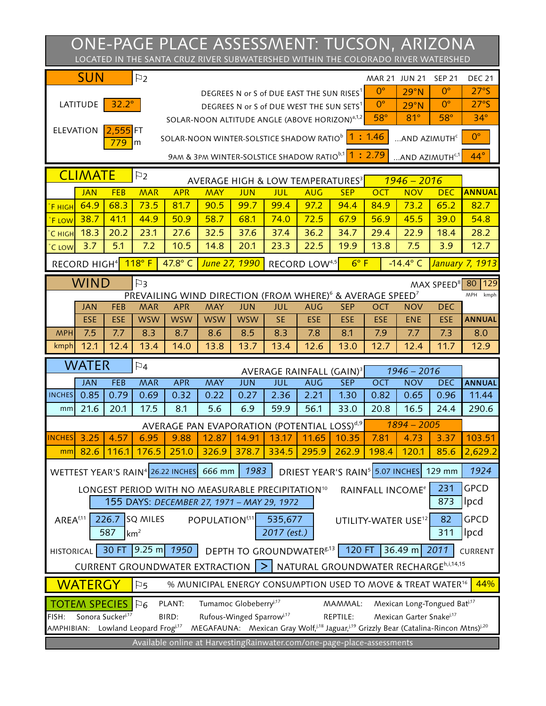| ONE-PAGE PLACE ASSESSMENT: TUCSON, ARIZONA<br>LOCATED IN THE SANTA CRUZ RIVER SUBWATERSHED WITHIN THE COLORADO RIVER WATERSHED            |                                                                                                                                |                  |                                                          |            |                                                               |                          |                                           |            |                                                                                                  |                           |                                     |                           |                           |  |
|-------------------------------------------------------------------------------------------------------------------------------------------|--------------------------------------------------------------------------------------------------------------------------------|------------------|----------------------------------------------------------|------------|---------------------------------------------------------------|--------------------------|-------------------------------------------|------------|--------------------------------------------------------------------------------------------------|---------------------------|-------------------------------------|---------------------------|---------------------------|--|
|                                                                                                                                           | <b>SUN</b>                                                                                                                     |                  | $\mathbb{F}_2$                                           |            |                                                               |                          |                                           |            |                                                                                                  | MAR 21 JUN 21             |                                     | <b>SEP 21</b>             | <b>DEC 21</b>             |  |
|                                                                                                                                           |                                                                                                                                |                  |                                                          |            |                                                               |                          | DEGREES N or S of DUE EAST THE SUN RISES1 |            |                                                                                                  | $0^{\circ}$               | 29°N                                | $0^{\circ}$               | 27°S                      |  |
|                                                                                                                                           | LATITUDE                                                                                                                       | $32.2^{\circ}$   |                                                          |            |                                                               |                          | DEGREES N or S of DUE WEST THE SUN SETS   |            |                                                                                                  | $0^{\circ}$<br>$58^\circ$ | 29°N                                | $O^{\circ}$<br>$58^\circ$ | 27°S<br>$34^\circ$        |  |
|                                                                                                                                           | <b>ELEVATION</b>                                                                                                               | 2.555            | <b>FT</b>                                                |            | SOLAR-NOON ALTITUDE ANGLE (ABOVE HORIZON) <sup>2,1,2</sup>    |                          |                                           |            |                                                                                                  |                           | 81°                                 |                           |                           |  |
|                                                                                                                                           |                                                                                                                                | 779              | lm                                                       |            |                                                               |                          |                                           |            | SOLAR-NOON WINTER-SOLSTICE SHADOW RATIO <sup>b</sup> 1: 1.46                                     |                           | AND AZIMUTH <sup>®</sup>            |                           | $O^{\circ}$               |  |
|                                                                                                                                           | 9AM & 3PM WINTER-SOLSTICE SHADOW RATIO <sup>b,1</sup> 1: 2.79<br>AND AZIMUTH <sup>c,1</sup>                                    |                  |                                                          |            |                                                               |                          |                                           |            |                                                                                                  |                           |                                     |                           | $44^\circ$                |  |
|                                                                                                                                           | <b>CLIMATE</b>                                                                                                                 |                  | <b>P</b><br>AVERAGE HIGH & LOW TEMPERATURES <sup>3</sup> |            |                                                               |                          |                                           |            | $1946 - 2016$                                                                                    |                           |                                     |                           |                           |  |
|                                                                                                                                           | <b>JAN</b>                                                                                                                     | FEB              | <b>MAR</b>                                               | <b>APR</b> | MAY                                                           | <b>JUN</b>               | JUL                                       | <b>AUG</b> | <b>SEP</b>                                                                                       | <b>OCT</b>                | <b>NOV</b>                          | <b>DEC</b>                | <b>ANNUAL</b>             |  |
| <b>F</b> HIGH                                                                                                                             | 64.9                                                                                                                           | 68.3             | 73.5                                                     | 81.7       | 90.5                                                          | 99.7                     | 99.4                                      | 97.2       | 94.4                                                                                             | 84.9                      | 73.2                                | 65.2                      | 82.7                      |  |
| <b>F</b> LOW                                                                                                                              | 38.7                                                                                                                           | 41.1             | 44.9                                                     | 50.9       | 58.7                                                          | 68.1                     | 74.0                                      | 72.5       | 67.9                                                                                             | 56.9                      | 45.5                                | 39.0                      | 54.8                      |  |
| C HIGH                                                                                                                                    | 18.3                                                                                                                           | 20.2             | 23.1                                                     | 27.6       | 32.5                                                          | 37.6                     | 37.4                                      | 36.2       | 34.7                                                                                             | 29.4                      | 22.9                                | 18.4                      | 28.2                      |  |
| C LOW                                                                                                                                     | 3.7                                                                                                                            | 5.1              | 7.2                                                      | 10.5       | 14.8                                                          | 20.1                     | 23.3                                      | 22.5       | 19.9                                                                                             | 13.8                      | 7.5                                 | 3.9                       | 12.7                      |  |
| RECORD HIGH <sup>4</sup> 118° F<br>47.8° C<br>June 27, 1990<br>$-14.4^{\circ}$ C<br>RECORD LOW4.5<br>$6^\circ$ F<br>January 7, 1913       |                                                                                                                                |                  |                                                          |            |                                                               |                          |                                           |            |                                                                                                  |                           |                                     |                           |                           |  |
| <b>WIND</b><br>MAX SPEED <sup>8</sup> 80<br>P3<br>PREVAILING WIND DIRECTION (FROM WHERE) <sup>6</sup> & AVERAGE SPEED <sup>7</sup>        |                                                                                                                                |                  |                                                          |            |                                                               |                          |                                           |            |                                                                                                  |                           |                                     |                           | 129<br><b>MPH</b><br>kmph |  |
|                                                                                                                                           | <b>JAN</b>                                                                                                                     | FEB              | <b>MAR</b>                                               | <b>APR</b> | MAY                                                           | <b>JUN</b>               | JUL                                       | <b>AUG</b> | <b>SEP</b>                                                                                       | OCT                       | <b>NOV</b>                          | DEC                       |                           |  |
|                                                                                                                                           | ESE                                                                                                                            | <b>ESE</b>       | <b>WSW</b>                                               | <b>WSW</b> | <b>WSW</b>                                                    | <b>WSW</b>               | <b>SE</b>                                 | ESE        | ESE                                                                                              | ESE                       | <b>ENE</b>                          | <b>ESE</b>                | <b>ANNUAL</b>             |  |
| <b>MPH</b>                                                                                                                                | 7.5                                                                                                                            | 7.7              | 8.3                                                      | 8.7        | 8.6                                                           | 8.5                      | 8.3                                       | 7.8        | 8.1                                                                                              | 7.9                       | 7.7                                 | 7.3                       | 8.0                       |  |
| kmph                                                                                                                                      | 12.1                                                                                                                           | 12.4             | 13.4                                                     | 14.0       | 13.8                                                          | 13.7                     | 13.4                                      | 12.6       | 13.0                                                                                             | 12.7                      | 12.4                                | 11.7                      | 12.9                      |  |
|                                                                                                                                           | <b>WATER</b>                                                                                                                   |                  | $\nabla_4$                                               |            |                                                               |                          | AVERAGE RAINFALL (GAIN) <sup>3</sup>      |            |                                                                                                  |                           | $1946 - 2016$                       |                           |                           |  |
|                                                                                                                                           | <b>JAN</b>                                                                                                                     | FEB              | <b>MAR</b>                                               | <b>APR</b> | MAY                                                           | <b>JUN</b>               | <b>JUL</b>                                | <b>AUG</b> | <b>SEP</b>                                                                                       | OCT                       | <b>NOV</b>                          | DEC                       | <b>ANNUAL</b>             |  |
| <b>INCHES</b>                                                                                                                             | 0.85                                                                                                                           | 0.79             | 0.69                                                     | 0.32       | 0.22                                                          | 0.27                     | 2.36                                      | 2.21       | 1.30                                                                                             | 0.82                      | 0.65                                | 0.96                      | 11.44                     |  |
| mm                                                                                                                                        | 21.6                                                                                                                           | 20.1             | 17.5                                                     | 8.1        | 5.6                                                           | 6.9                      | 59.9                                      | 56.1       | 33.0                                                                                             | 20.8                      | 16.5                                | 24.4                      | 290.6                     |  |
|                                                                                                                                           |                                                                                                                                |                  |                                                          |            | AVERAGE PAN EVAPORATION (POTENTIAL LOSS) <sup>d,9</sup>       |                          |                                           |            |                                                                                                  |                           | $1894 - 2005$                       |                           |                           |  |
| <b>NCHES</b>                                                                                                                              | 3.25                                                                                                                           | 4.57             | 6.95                                                     | 9.88       | 12.87                                                         | 14.91                    | 13.17                                     | 11.65      | 10.35                                                                                            | 7.81                      | 4.73                                | 3.37                      | 103.51                    |  |
| mm                                                                                                                                        | 82.6                                                                                                                           | 116.1            | 176.5                                                    | 251.0      | 326.9                                                         | 378.7                    | 334.5                                     | 295.9      | 262.9                                                                                            | 198.4                     | 120.1                               | 85.6                      | 2,629.2                   |  |
|                                                                                                                                           | 1983<br>DRIEST YEAR'S RAIN <sup>\$</sup> 5.07 INCHES<br>1924<br>WETTEST YEAR'S RAIN <sup>4</sup> 26.22 INCHES 666 mm<br>129 mm |                  |                                                          |            |                                                               |                          |                                           |            |                                                                                                  |                           |                                     |                           |                           |  |
|                                                                                                                                           |                                                                                                                                |                  |                                                          |            | LONGEST PERIOD WITH NO MEASURABLE PRECIPITATION <sup>10</sup> |                          |                                           |            |                                                                                                  | RAINFALL INCOME®          |                                     | 231                       | GPCD                      |  |
|                                                                                                                                           |                                                                                                                                |                  |                                                          |            | 155 DAYS: DECEMBER 27, 1971 - MAY 29, 1972                    |                          |                                           |            |                                                                                                  |                           |                                     | 873                       | lpcd                      |  |
| AREA <sup>611</sup><br><b>SQ MILES</b><br>226.7<br>POPULATION <sup>f,11</sup><br>82<br>GPCD<br>535,677<br>UTILITY-WATER USE <sup>12</sup> |                                                                                                                                |                  |                                                          |            |                                                               |                          |                                           |            |                                                                                                  |                           |                                     |                           |                           |  |
|                                                                                                                                           |                                                                                                                                | 587              | km <sup>2</sup>                                          |            |                                                               |                          | 2017 (est.)                               |            |                                                                                                  |                           |                                     | 311                       | lpcd                      |  |
| HISTORICAL 30 FT 9.25 m<br>1950 DEPTH TO GROUNDWATER <sup>g,13</sup> 120 FT<br>$36.49$ m<br>2011<br>CURRENT                               |                                                                                                                                |                  |                                                          |            |                                                               |                          |                                           |            |                                                                                                  |                           |                                     |                           |                           |  |
| CURRENT GROUNDWATER EXTRACTION  >   NATURAL GROUNDWATER RECHARGE <sup>h,1,14,15</sup>                                                     |                                                                                                                                |                  |                                                          |            |                                                               |                          |                                           |            |                                                                                                  |                           |                                     |                           |                           |  |
| <b>WATERGY</b><br>% MUNICIPAL ENERGY CONSUMPTION USED TO MOVE & TREAT WATER <sup>16</sup><br>44%<br> P5                                   |                                                                                                                                |                  |                                                          |            |                                                               |                          |                                           |            |                                                                                                  |                           |                                     |                           |                           |  |
|                                                                                                                                           | Tumamoc Globeberryi <sup>17</sup><br>Mexican Long-Tongued Bat <sup>j.17</sup><br>PLANT:<br>MAMMAL:<br><b>TOTEM SPECIES IP6</b> |                  |                                                          |            |                                                               |                          |                                           |            |                                                                                                  |                           |                                     |                           |                           |  |
| FISH:                                                                                                                                     |                                                                                                                                | Sonora Suckeri17 |                                                          | BIRD:      |                                                               | Rufous-Winged Sparrowi17 |                                           |            | REPTILE:                                                                                         |                           | Mexican Garter Snakei <sup>17</sup> |                           |                           |  |
|                                                                                                                                           |                                                                                                                                |                  | AMPHIBIAN: Lowland Leopard Frog <sup>317</sup>           |            |                                                               |                          |                                           |            | MEGAFAUNA: Mexican Gray Wolf, it8 Jaguar, it9 Grizzly Bear (Catalina-Rincon Mtns) <sup>120</sup> |                           |                                     |                           |                           |  |
|                                                                                                                                           |                                                                                                                                |                  |                                                          |            |                                                               |                          |                                           |            | Available online at HarvestingRainwater.com/one-page-place-assessments                           |                           |                                     |                           |                           |  |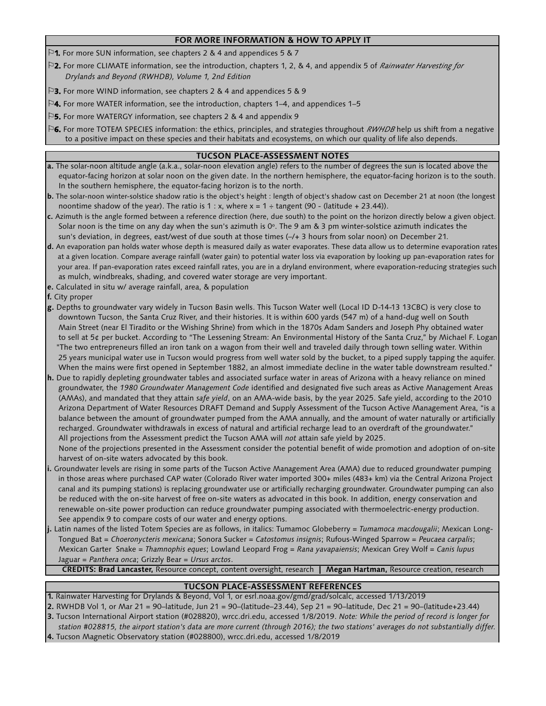## **FOR MORE INFORMATION & HOW TO APPLY IT**

- ⚐**1.** For more SUN information, see chapters 2 & 4 and appendices 5 & 7
- ⚐**2.** For more CLIMATE information, see the introduction, chapters 1, 2, & 4, and appendix 5 of *Rainwater Harvesting for Drylands and Beyond (RWHDB), Volume 1, 2nd Edition*
- ⚐**3.** For more WIND information, see chapters 2 & 4 and appendices 5 & 9
- ⚐**4.** For more WATER information, see the introduction, chapters 1–4, and appendices 1–5
- ⚐**5.** For more WATERGY information, see chapters 2 & 4 and appendix 9
- ⚐**6.** For more TOTEM SPECIES information: the ethics, principles, and strategies throughout *RWHDB* help us shift from a negative to a positive impact on these species and their habitats and ecosystems, on which our quality of life also depends.

## **TUCSON PLACE-ASSESSMENT NOTES**

- **a.** The solar-noon altitude angle (a.k.a., solar-noon elevation angle) refers to the number of degrees the sun is located above the equator-facing horizon at solar noon on the given date. In the northern hemisphere, the equator-facing horizon is to the south. In the southern hemisphere, the equator-facing horizon is to the north.
- noontime shadow of the year). The ratio is 1 : x, where  $x = 1 + tangent (90 (latitude + 23.44))$ . **b.** The solar-noon winter-solstice shadow ratio is the object's height : length of object's shadow cast on December 21 at noon (the longest
- **c.** Azimuth is the angle formed between a reference direction (here, due south) to the point on the horizon directly below a given object. Solar noon is the time on any day when the sun's azimuth is 0º. The 9 am & 3 pm winter-solstice azimuth indicates the sun's deviation, in degrees, east/west of due south at those times (–/+ 3 hours from solar noon) on December 21.
- **d.** An evaporation pan holds water whose depth is measured daily as water evaporates. These data allow us to determine evaporation rates at a given location. Compare average rainfall (water gain) to potential water loss via evaporation by looking up pan-evaporation rates for your area. If pan-evaporation rates exceed rainfall rates, you are in a dryland environment, where evaporation-reducing strategies such as mulch, windbreaks, shading, and covered water storage are very important.
- **e.** Calculated in situ w/ average rainfall, area, & population
- **f.** City proper
- **g.** Depths to groundwater vary widely in Tucson Basin wells. This Tucson Water well (Local ID D-14-13 13CBC) is very close to downtown Tucson, the Santa Cruz River, and their histories. It is within 600 yards (547 m) of a hand-dug well on South Main Street (near El Tiradito or the Wishing Shrine) from which in the 1870s Adam Sanders and Joseph Phy obtained water to sell at 5¢ per bucket. According to "The Lessening Stream: An Environmental History of the Santa Cruz," by Michael F. Logan "The two entrepreneurs filled an iron tank on a wagon from their well and traveled daily through town selling water. Within When the mains were first opened in September 1882, an almost immediate decline in the water table downstream resulted." 25 years municipal water use in Tucson would progress from well water sold by the bucket, to a piped supply tapping the aquifer.
- (AMAs), and mandated that they attain *safe yield*, on an AMA-wide basis, by the year 2025. Safe yield, according to the 2010 Arizona Department of Water Resources DRAFT Demand and Supply Assessment of the Tucson Active Management Area, "is a balance between the amount of groundwater pumped from the AMA annually, and the amount of water naturally or artificially recharged. Groundwater withdrawals in excess of natural and artificial recharge lead to an overdraft of the groundwater." All projections from the Assessment predict the Tucson AMA will *not* attain safe yield by 2025. **h.** Due to rapidly depleting groundwater tables and associated surface water in areas of Arizona with a heavy reliance on mined groundwater, the *1980 Groundwater Management Code* identified and designated five such areas as Active Management Areas

 None of the projections presented in the Assessment consider the potential benefit of wide promotion and adoption of on-site harvest of on-site waters advocated by this book.

- **i.** Groundwater levels are rising in some parts of the Tucson Active Management Area (AMA) due to reduced groundwater pumping in those areas where purchased CAP water (Colorado River water imported 300+ miles (483+ km) via the Central Arizona Project canal and its pumping stations) is replacing groundwater use or artificially recharging groundwater. Groundwater pumping can also be reduced with the on-site harvest of free on-site waters as advocated in this book. In addition, energy conservation and renewable on-site power production can reduce groundwater pumping associated with thermoelectric-energy production. See appendix 9 to compare costs of our water and energy options.
- Jaguar = *Panthera onca*; Grizzly Bear = *Ursus arctos*. Tongued Bat = *Choeronycteris mexicana*; Sonora Sucker = *Catostomus insignis*; Rufous-Winged Sparrow = *Peucaea carpalis*; Mexican Garter Snake = *Thamnophis eques*; Lowland Leopard Frog = *Rana yavapaiensis*; Mexican Grey Wolf = *Canis lupus*  **j.** Latin names of the listed Totem Species are as follows, in italics: Tumamoc Globeberry = *Tumamoca macdougalii*; Mexican Long-

**CREDITS: Brad Lancaster,** Resource concept, content oversight, research **| Megan Hartman,** Resource creation, research

## **TUCSON PLACE-ASSESSMENT REFERENCES**

 *station #028815, the airport station's data are more current (through 2016); the two stations' averages do not substantially differ.* **3.** Tucson International Airport station (#028820), wrcc.dri.edu, accessed 1/8/2019. *Note: While the period of record is longer for* **1.** Rainwater Harvesting for Drylands & Beyond, Vol 1, or esrl.noaa.gov/gmd/grad/solcalc, accessed 1/13/2019 **2.** RWHDB Vol 1, or Mar 21 = 90–latitude, Jun 21 = 90–(latitude–23.44), Sep 21 = 90–latitude, Dec 21 = 90–(latitude+23.44)

**4.** Tucson Magnetic Observatory station (#028800), wrcc.dri.edu, accessed 1/8/2019